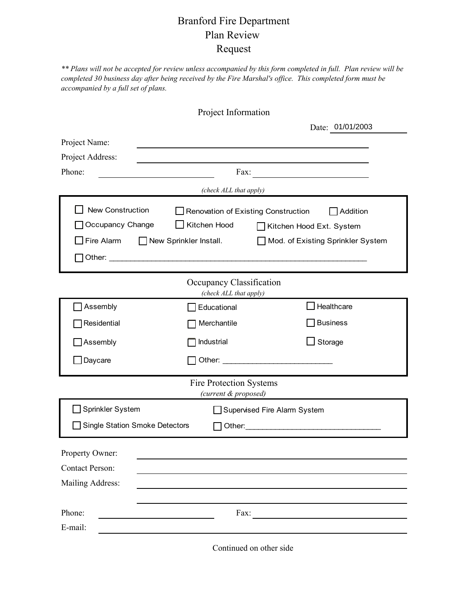## Branford Fire Department Plan Review Request

*\*\* Plans will not be accepted for review unless accompanied by this form completed in full. Plan review will be completed 30 business day after being received by the Fire Marshal's office. This completed form must be accompanied by a full set of plans.*

|                                                        | Project Information                   |                                                                                                                                                                                                                                |  |  |  |
|--------------------------------------------------------|---------------------------------------|--------------------------------------------------------------------------------------------------------------------------------------------------------------------------------------------------------------------------------|--|--|--|
|                                                        |                                       | Date: 01/01/2003                                                                                                                                                                                                               |  |  |  |
| Project Name:                                          |                                       |                                                                                                                                                                                                                                |  |  |  |
| Project Address:                                       |                                       |                                                                                                                                                                                                                                |  |  |  |
| Phone:                                                 | Fax:                                  |                                                                                                                                                                                                                                |  |  |  |
|                                                        | (check ALL that apply)                |                                                                                                                                                                                                                                |  |  |  |
| New Construction                                       |                                       | Renovation of Existing Construction<br>Addition                                                                                                                                                                                |  |  |  |
| Occupancy Change                                       | Kitchen Hood                          | Kitchen Hood Ext. System                                                                                                                                                                                                       |  |  |  |
| Fire Alarm                                             | $\Box$ New Sprinkler Install.         | Mod. of Existing Sprinkler System                                                                                                                                                                                              |  |  |  |
|                                                        |                                       |                                                                                                                                                                                                                                |  |  |  |
| Occupancy Classification<br>(check ALL that apply)     |                                       |                                                                                                                                                                                                                                |  |  |  |
| Assembly                                               | Educational                           | Healthcare                                                                                                                                                                                                                     |  |  |  |
| Residential                                            | Merchantile                           | <b>Business</b>                                                                                                                                                                                                                |  |  |  |
| Assembly                                               | Industrial                            | Storage                                                                                                                                                                                                                        |  |  |  |
| Daycare                                                |                                       |                                                                                                                                                                                                                                |  |  |  |
| <b>Fire Protection Systems</b><br>(current & proposed) |                                       |                                                                                                                                                                                                                                |  |  |  |
| Sprinkler System                                       |                                       | Supervised Fire Alarm System                                                                                                                                                                                                   |  |  |  |
|                                                        | <b>Single Station Smoke Detectors</b> | Other: The Communication of the Communication of the Communication of the Communication of the Communication of the Communication of the Communication of the Communication of the Communication of the Communication of the C |  |  |  |
| Property Owner:                                        |                                       |                                                                                                                                                                                                                                |  |  |  |
| <b>Contact Person:</b>                                 |                                       |                                                                                                                                                                                                                                |  |  |  |
| Mailing Address:                                       |                                       |                                                                                                                                                                                                                                |  |  |  |
|                                                        |                                       |                                                                                                                                                                                                                                |  |  |  |
| Phone:                                                 | Fax:                                  |                                                                                                                                                                                                                                |  |  |  |
| E-mail:                                                |                                       |                                                                                                                                                                                                                                |  |  |  |

Continued on other side